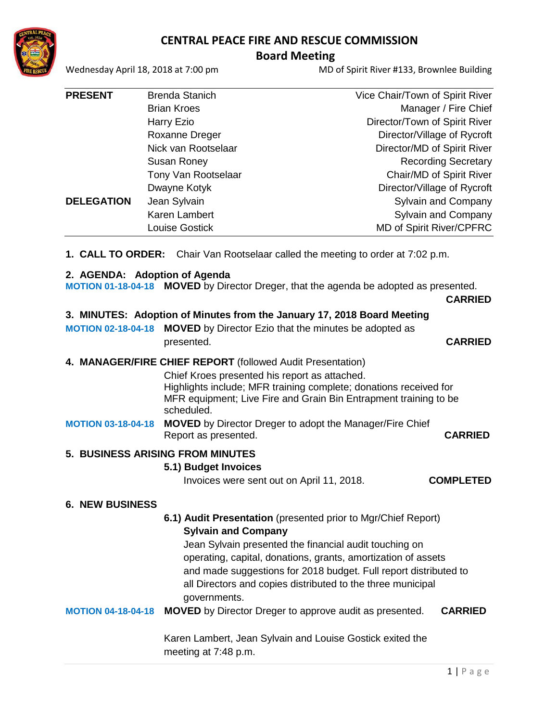# **CENTRAL PEACE FIRE AND RESCUE COMMISSION**



### **Board Meeting**

Wednesday April 18, 2018 at 7:00 pm MD of Spirit River #133, Brownlee Building

| <b>PRESENT</b>    | <b>Brenda Stanich</b> | Vice Chair/Town of Spirit River |
|-------------------|-----------------------|---------------------------------|
|                   | <b>Brian Kroes</b>    | Manager / Fire Chief            |
|                   | Harry Ezio            | Director/Town of Spirit River   |
|                   | Roxanne Dreger        | Director/Village of Rycroft     |
|                   | Nick van Rootselaar   | Director/MD of Spirit River     |
|                   | Susan Roney           | <b>Recording Secretary</b>      |
|                   | Tony Van Rootselaar   | Chair/MD of Spirit River        |
|                   | Dwayne Kotyk          | Director/Village of Rycroft     |
| <b>DELEGATION</b> | Jean Sylvain          | Sylvain and Company             |
|                   | Karen Lambert         | Sylvain and Company             |
|                   | <b>Louise Gostick</b> | <b>MD of Spirit River/CPFRC</b> |

**1. CALL TO ORDER:** Chair Van Rootselaar called the meeting to order at 7:02 p.m.

#### **2. AGENDA: Adoption of Agenda**

**MOTION 01-18-04-18 MOVED** by Director Dreger, that the agenda be adopted as presented.

**CARRIED**

#### **3. MINUTES: Adoption of Minutes from the January 17, 2018 Board Meeting**

**MOTION 02-18-04-18 MOVED** by Director Ezio that the minutes be adopted as presented. **CARRIED**

#### **4. MANAGER/FIRE CHIEF REPORT** (followed Audit Presentation)

Chief Kroes presented his report as attached. Highlights include; MFR training complete; donations received for MFR equipment; Live Fire and Grain Bin Entrapment training to be scheduled.

#### **MOTION 03-18-04-18 MOVED** by Director Dreger to adopt the Manager/Fire Chief Report as presented. **CARRIED**

### **5. BUSINESS ARISING FROM MINUTES**

#### **5.1) Budget Invoices**

Invoices were sent out on April 11, 2018. **COMPLETED**

### **6. NEW BUSINESS**

# **6.1) Audit Presentation** (presented prior to Mgr/Chief Report) **Sylvain and Company**

 Jean Sylvain presented the financial audit touching on operating, capital, donations, grants, amortization of assets and made suggestions for 2018 budget. Full report distributed to all Directors and copies distributed to the three municipal governments.

### **MOTION 04-18-04-18 MOVED** by Director Dreger to approve audit as presented. **CARRIED**

Karen Lambert, Jean Sylvain and Louise Gostick exited the meeting at 7:48 p.m.